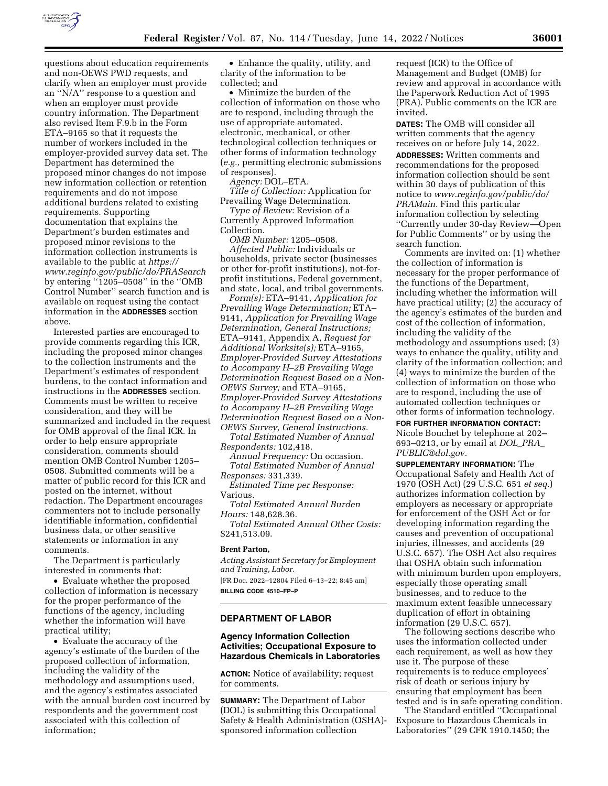

questions about education requirements and non-OEWS PWD requests, and clarify when an employer must provide an ''N/A'' response to a question and when an employer must provide country information. The Department also revised Item F.9.b in the Form ETA–9165 so that it requests the number of workers included in the employer-provided survey data set. The Department has determined the proposed minor changes do not impose new information collection or retention requirements and do not impose additional burdens related to existing requirements. Supporting documentation that explains the Department's burden estimates and proposed minor revisions to the information collection instruments is available to the public at *[https://](https://www.reginfo.gov/public/do/PRASearch) [www.reginfo.gov/public/do/PRASearch](https://www.reginfo.gov/public/do/PRASearch)*  by entering ''1205–0508'' in the ''OMB Control Number'' search function and is available on request using the contact information in the **ADDRESSES** section above.

Interested parties are encouraged to provide comments regarding this ICR, including the proposed minor changes to the collection instruments and the Department's estimates of respondent burdens, to the contact information and instructions in the **ADDRESSES** section. Comments must be written to receive consideration, and they will be summarized and included in the request for OMB approval of the final ICR. In order to help ensure appropriate consideration, comments should mention OMB Control Number 1205– 0508. Submitted comments will be a matter of public record for this ICR and posted on the internet, without redaction. The Department encourages commenters not to include personally identifiable information, confidential business data, or other sensitive statements or information in any comments.

The Department is particularly interested in comments that:

• Evaluate whether the proposed collection of information is necessary for the proper performance of the functions of the agency, including whether the information will have practical utility;

• Evaluate the accuracy of the agency's estimate of the burden of the proposed collection of information, including the validity of the methodology and assumptions used, and the agency's estimates associated with the annual burden cost incurred by respondents and the government cost associated with this collection of information;

• Enhance the quality, utility, and clarity of the information to be collected; and

• Minimize the burden of the collection of information on those who are to respond, including through the use of appropriate automated, electronic, mechanical, or other technological collection techniques or other forms of information technology (*e.g.,* permitting electronic submissions of responses).

*Agency:* DOL–ETA.

*Title of Collection:* Application for Prevailing Wage Determination.

*Type of Review:* Revision of a Currently Approved Information Collection.

*OMB Number:* 1205–0508.

*Affected Public:* Individuals or households, private sector (businesses or other for-profit institutions), not-forprofit institutions, Federal government, and state, local, and tribal governments.

*Form(s):* ETA–9141, *Application for Prevailing Wage Determination;* ETA– 9141, *Application for Prevailing Wage Determination, General Instructions;*  ETA–9141, Appendix A, *Request for Additional Worksite(s);* ETA–9165, *Employer-Provided Survey Attestations to Accompany H–2B Prevailing Wage Determination Request Based on a Non-OEWS Survey;* and ETA–9165, *Employer-Provided Survey Attestations to Accompany H–2B Prevailing Wage Determination Request Based on a Non-OEWS Survey, General Instructions.* 

*Total Estimated Number of Annual Respondents:* 102,418.

*Annual Frequency:* On occasion. *Total Estimated Number of Annual Responses:* 331,339.

*Estimated Time per Response:*  Various.

*Total Estimated Annual Burden Hours:* 148,628.36.

*Total Estimated Annual Other Costs:*  \$241,513.09.

#### **Brent Parton,**

*Acting Assistant Secretary for Employment and Training, Labor.* 

[FR Doc. 2022–12804 Filed 6–13–22; 8:45 am] **BILLING CODE 4510–FP–P** 

### **DEPARTMENT OF LABOR**

## **Agency Information Collection Activities; Occupational Exposure to Hazardous Chemicals in Laboratories**

**ACTION:** Notice of availability; request for comments.

**SUMMARY:** The Department of Labor (DOL) is submitting this Occupational Safety & Health Administration (OSHA) sponsored information collection

request (ICR) to the Office of Management and Budget (OMB) for review and approval in accordance with the Paperwork Reduction Act of 1995 (PRA). Public comments on the ICR are invited.

**DATES:** The OMB will consider all written comments that the agency receives on or before July 14, 2022.

**ADDRESSES:** Written comments and recommendations for the proposed information collection should be sent within 30 days of publication of this notice to *[www.reginfo.gov/public/do/](http://www.reginfo.gov/public/do/PRAMain) [PRAMain.](http://www.reginfo.gov/public/do/PRAMain)* Find this particular information collection by selecting ''Currently under 30-day Review—Open for Public Comments'' or by using the search function.

Comments are invited on: (1) whether the collection of information is necessary for the proper performance of the functions of the Department, including whether the information will have practical utility; (2) the accuracy of the agency's estimates of the burden and cost of the collection of information, including the validity of the methodology and assumptions used; (3) ways to enhance the quality, utility and clarity of the information collection; and (4) ways to minimize the burden of the collection of information on those who are to respond, including the use of automated collection techniques or other forms of information technology.

**FOR FURTHER INFORMATION CONTACT:**  Nicole Bouchet by telephone at 202–

693–0213, or by email at *[DOL](mailto:DOL_PRA_PUBLIC@dol.gov)*\_*PRA*\_ *[PUBLIC@dol.gov.](mailto:DOL_PRA_PUBLIC@dol.gov)* 

**SUPPLEMENTARY INFORMATION:** The Occupational Safety and Health Act of 1970 (OSH Act) (29 U.S.C. 651 *et seq.*) authorizes information collection by employers as necessary or appropriate for enforcement of the OSH Act or for developing information regarding the causes and prevention of occupational injuries, illnesses, and accidents (29 U.S.C. 657). The OSH Act also requires that OSHA obtain such information with minimum burden upon employers, especially those operating small businesses, and to reduce to the maximum extent feasible unnecessary duplication of effort in obtaining information (29 U.S.C. 657).

The following sections describe who uses the information collected under each requirement, as well as how they use it. The purpose of these requirements is to reduce employees' risk of death or serious injury by ensuring that employment has been tested and is in safe operating condition.

The Standard entitled ''Occupational Exposure to Hazardous Chemicals in Laboratories'' (29 CFR 1910.1450; the